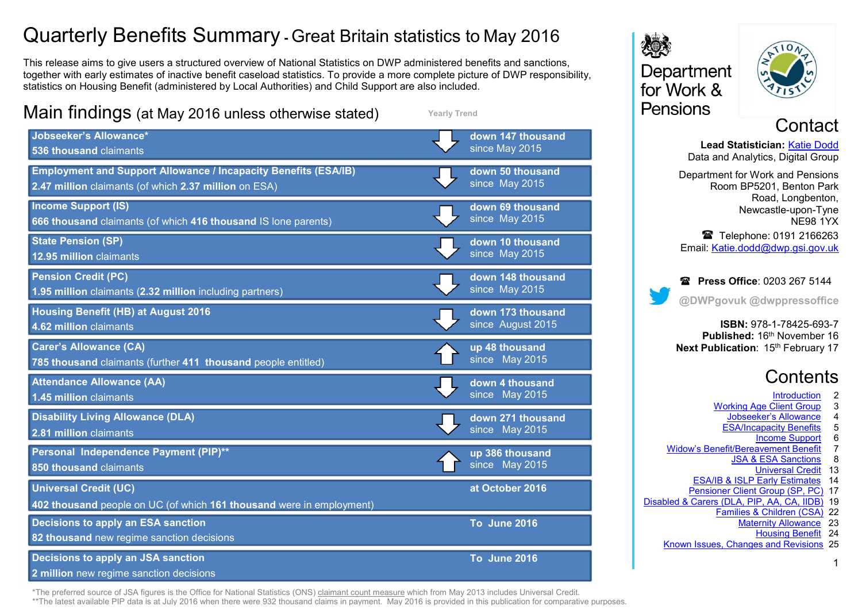## Quarterly Benefits Summary **-** Great Britain statistics to May 2016

This release aims to give users a structured overview of National Statistics on DWP administered benefits and sanctions, together with early estimates of inactive benefit caseload statistics. To provide a more complete picture of DWP responsibility, statistics on Housing Benefit (administered by Local Authorities) and Child Support are also included.



**Yearly Trend**



\*The preferred source of JSA figures is the Office for National Statistics (ONS[\) claimant count measure](https://www.nomisweb.co.uk/query/select/getdatasetbytheme.asp?theme=72) which from May 2013 includes Universal Credit.

\*\*The latest available [PIP](https://www.gov.uk/government/collections/personal-independence-payment-statistics) data is at July 2016 when there were 932 thousand claims in payment. May 2016 is provided in this publication for comparative purposes.





**Contact** 

**Lead Statistician:** [Katie Dodd](#page-24-0) Data and Analytics, Digital Group Department for Work and Pensions Room BP5201, Benton Park Road, Longbenton, Newcastle-upon-Tyne NE98 1YX Telephone: 0191 2166263 Email: [Katie.dodd@dwp.gsi.gov.uk](mailto:katie.dodd@dwp.gsi.gov.uk)

**Press Office: 0203 267 5144 @DWPgovuk @dwppressoffice**

**ISBN:** 978-1-78425-693-7 **Published: 16th November 16 Next Publication: 15th February 17** 

### **Contents**

- **Introduction**
- [Working Age Client Group](#page-2-0) 3
	- **Jobseeker's Allowance** 4<br>ESA/Incapacity Benefits 5
	- [ESA/Incapacity Benefits](#page-4-0) 5<br>Income Support 6
		- **[Income Support](#page-5-0) 6**<br> **Exament Benefit** 7
- Widow's Benefit/Bereavement Benefit<br>JSA & ESA Sanctions 8
	- [JSA & ESA Sanctions](#page-7-0) 8
		- [Universal Credit](#page-12-0) 13
	- [ESA/IB & ISLP Early Estimates](#page-13-0) 14
- [Pensioner Client Group \(SP, PC\)](#page-16-0) 17
- [Disabled & Carers \(DLA, PIP, AA, CA, IIDB\)](#page-18-0) 19
	- [Families & Children \(CSA\)](#page-21-0) 22 [Maternity Allowance](#page-22-0) 23
		- [Housing Benefit](#page-23-0) 24
	- [Known Issues, Changes and Revisions](#page-24-0) 25

1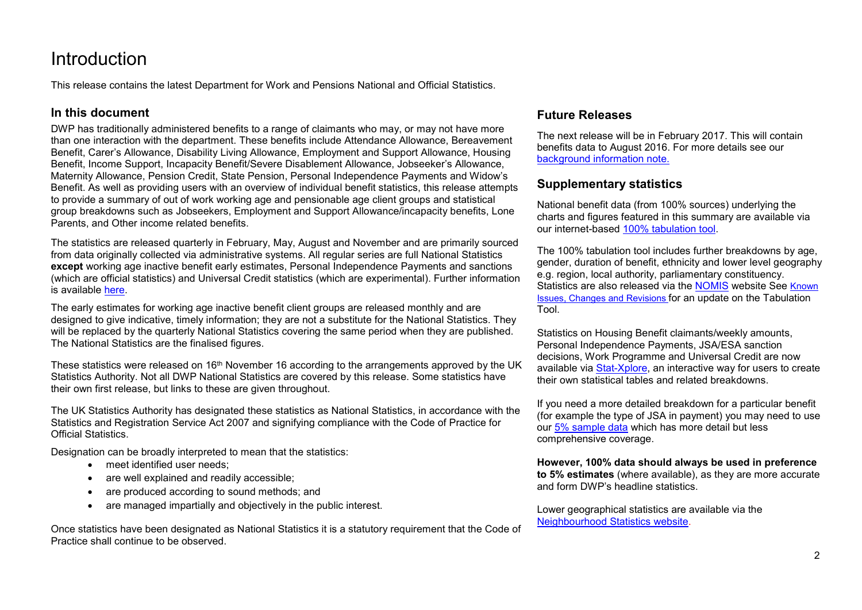### <span id="page-1-0"></span>Introduction

This release contains the latest Department for Work and Pensions National and Official Statistics.

#### **In this document**

DWP has traditionally administered benefits to a range of claimants who may, or may not have more than one interaction with the department. These benefits include Attendance Allowance, Bereavement Benefit, Carer's Allowance, Disability Living Allowance, Employment and Support Allowance, Housing Benefit, Income Support, Incapacity Benefit/Severe Disablement Allowance, Jobseeker's Allowance, Maternity Allowance, Pension Credit, State Pension, Personal Independence Payments and Widow's Benefit. As well as providing users with an overview of individual benefit statistics, this release attempts to provide a summary of out of work working age and pensionable age client groups and statistical group breakdowns such as Jobseekers, Employment and Support Allowance/incapacity benefits, Lone Parents, and Other income related benefits.

The statistics are released quarterly in February, May, August and November and are primarily sourced from data originally collected via administrative systems. All regular series are full National Statistics **except** working age inactive benefit early estimates, Personal Independence Payments and sanctions (which are official statistics) and Universal Credit statistics (which are experimental). Further information is available [here.](http://www.statisticsauthority.gov.uk/national-statistician/types-of-official-statistics)

The early estimates for working age inactive benefit client groups are released monthly and are designed to give indicative, timely information; they are not a substitute for the National Statistics. They will be replaced by the quarterly National Statistics covering the same period when they are published. The National Statistics are the finalised figures.

These statistics were released on 16<sup>th</sup> November 16 according to the arrangements approved by the UK Statistics Authority. Not all DWP National Statistics are covered by this release. Some statistics have their own first release, but links to these are given throughout.

The UK Statistics Authority has designated these statistics as National Statistics, in accordance with the Statistics and Registration Service Act 2007 and signifying compliance with the Code of Practice for Official Statistics.

Designation can be broadly interpreted to mean that the statistics:

- meet identified user needs;
- are well explained and readily accessible:
- are produced according to sound methods; and
- are managed impartially and objectively in the public interest.

Once statistics have been designated as National Statistics it is a statutory requirement that the Code of Practice shall continue to be observed.

#### **Future Releases**

The next release will be in February 2017. This will contain benefits data to August 2016. For more details see our background information note.

#### **Supplementary statistics**

National benefit data (from 100% sources) underlying the charts and figures featured in this summary are available via our internet-based [100% tabulation tool.](http://tabulation-tool.dwp.gov.uk/100pc/tabtool.html)

The 100% tabulation tool includes further breakdowns by age, gender, duration of benefit, ethnicity and lower level geography e.g. region, local authority, parliamentary constituency. Statistics are also released via the [NOMIS](https://www.nomisweb.co.uk/Default.asp) website See Known [Issues, Changes and Revisions](#page-24-0) for an update on the Tabulation Tool.

Statistics on Housing Benefit claimants/weekly amounts, Personal Independence Payments, JSA/ESA sanction decisions, Work Programme and Universal Credit are now available via **Stat-Xplore**, an interactive way for users to create their own statistical tables and related breakdowns.

If you need a more detailed breakdown for a particular benefit (for example the type of JSA in payment) you may need to use our [5% sample data](http://tabulation-tool.dwp.gov.uk/5pc/tabtool.html) which has more detail but less comprehensive coverage.

**However, 100% data should always be used in preference to 5% estimates** (where available), as they are more accurate and form DWP's headline statistics.

Lower geographical statistics are available via the [Neighbourhood Statistics website.](http://tabulation-tool.dwp.gov.uk/NESS/page1.htm)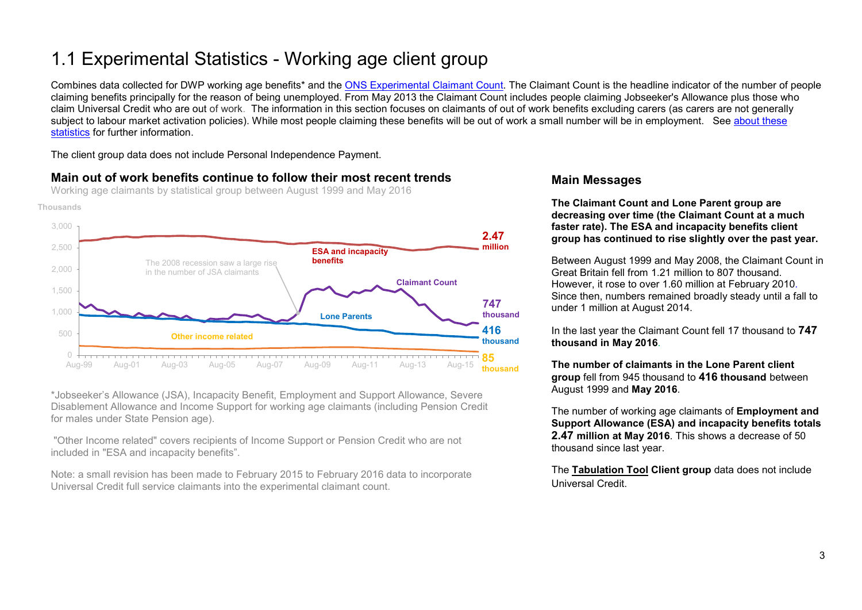### <span id="page-2-0"></span>1.1 Experimental Statistics - Working age client group

Combines data collected for DWP working age benefits\* and the [ONS Experimental Claimant Count.](https://www.nomisweb.co.uk/query/select/getdatasetbytheme.asp?theme=72) The Claimant Count is the headline indicator of the number of people claiming benefits principally for the reason of being unemployed. From May 2013 the Claimant Count includes people claiming Jobseeker's Allowance plus those who claim Universal Credit who are out of work. The information in this section focuses on claimants of out of work benefits excluding carers (as carers are not generally subject to labour market activation policies). While most people claiming these benefits will be out of work a small number will be in employment. See about these [statistics](#page-24-1) for further information.

The client group data does not include Personal Independence Payment.

#### **Main out of work benefits continue to follow their most recent trends**

Working age claimants by statistical group between August 1999 and May 2016





\*Jobseeker's Allowance (JSA), Incapacity Benefit, Employment and Support Allowance, Severe Disablement Allowance and Income Support for working age claimants (including Pension Credit for males under State Pension age).

"Other Income related" covers recipients of Income Support or Pension Credit who are not included in "ESA and incapacity benefits".

Note: a small revision has been made to February 2015 to February 2016 data to incorporate Universal Credit full service claimants into the experimental claimant count.

#### **Main Messages**

**The Claimant Count and Lone Parent group are decreasing over time (the Claimant Count at a much faster rate). The ESA and incapacity benefits client group has continued to rise slightly over the past year.**

Between August 1999 and May 2008, the Claimant Count in Great Britain fell from 1.21 million to 807 thousand. However, it rose to over 1.60 million at February 2010. Since then, numbers remained broadly steady until a fall to under 1 million at August 2014.

In the last year the Claimant Count fell 17 thousand to **747 thousand in May 2016**.

**The number of claimants in the Lone Parent client group** fell from 945 thousand to **416 thousand** between August 1999 and **May 2016**.

The number of working age claimants of **Employment and Support Allowance (ESA) and incapacity benefits totals 2.47 million at May 2016**. This shows a decrease of 50 thousand since last year.

The **[Tabulation](http://tabulation-tool.dwp.gov.uk/100pc/wa/ccdate/ccstatgp/a_carate_r_ccdate_c_ccstatgp.html) Tool Client group** data does not include Universal Credit.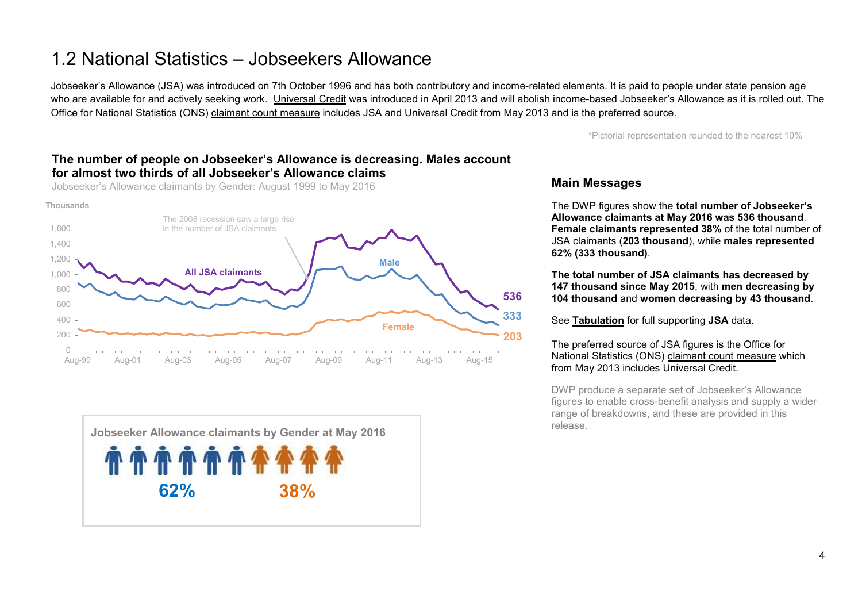### <span id="page-3-0"></span>1.2 National Statistics – Jobseekers Allowance

Jobseeker's Allowance (JSA) was introduced on 7th October 1996 and has both contributory and income-related elements. It is paid to people under state pension age who are available for and actively seeking work. [Universal Credit](https://www.gov.uk/government/collections/universal-credit-statistics) was introduced in April 2013 and will abolish income-based Jobseeker's Allowance as it is rolled out. The Office for National Statistics (ONS) [claimant count measure](https://www.nomisweb.co.uk/query/select/getdatasetbytheme.asp?theme=72) includes JSA and Universal Credit from May 2013 and is the preferred source.

\*Pictorial representation rounded to the nearest 10%

#### **The number of people on Jobseeker's Allowance is decreasing. Males account for almost two thirds of all Jobseeker's Allowance claims**

Jobseeker's Allowance claimants by Gender: August 1999 to May 2016





#### **Main Messages**

The DWP figures show the **total number of Jobseeker's Allowance claimants at May 2016 was 536 thousand**. **Female claimants represented 38%** of the total number of JSA claimants (**203 thousand**), while **males represented 62% (333 thousand)**.

**The total number of JSA claimants has decreased by 147 thousand since May 2015**, with **men decreasing by 104 thousand** and **women decreasing by 43 thousand**.

See **[Tabulation](http://tabulation-tool.dwp.gov.uk/100pc/jsa/ccdate/ccsex/a_carate_r_ccdate_c_ccsex.html)** for full supporting **JSA** data.

#### The preferred source of JSA figures is the Office for National Statistics (ONS) [claimant count measure](https://www.nomisweb.co.uk/query/select/getdatasetbytheme.asp?theme=72) which from May 2013 includes Universal Credit.

DWP produce a separate set of Jobseeker's Allowance figures to enable cross-benefit analysis and supply a wider range of breakdowns, and these are provided in this release.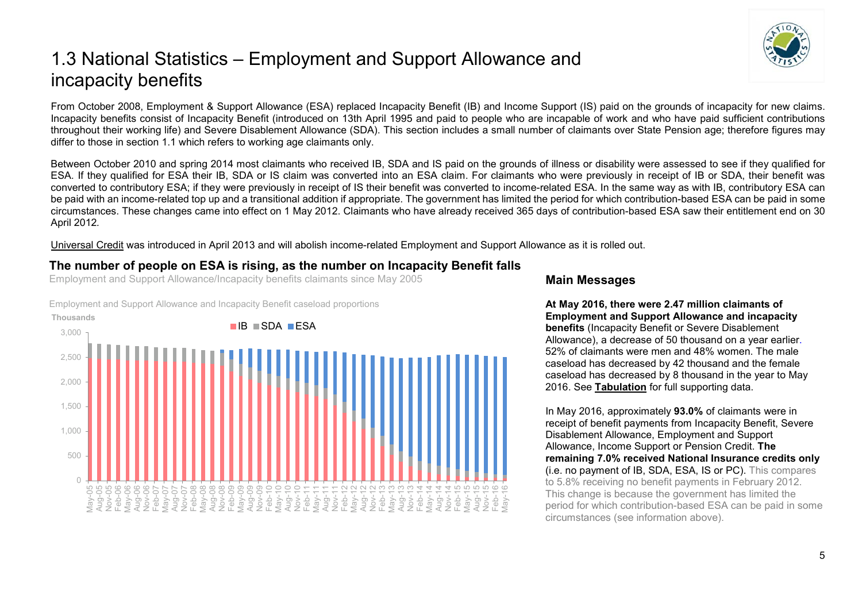### <span id="page-4-0"></span>1.3 National Statistics – Employment and Support Allowance and incapacity benefits

From October 2008, Employment & Support Allowance (ESA) replaced Incapacity Benefit (IB) and Income Support (IS) paid on the grounds of incapacity for new claims. Incapacity benefits consist of Incapacity Benefit (introduced on 13th April 1995 and paid to people who are incapable of work and who have paid sufficient contributions throughout their working life) and Severe Disablement Allowance (SDA). This section includes a small number of claimants over State Pension age; therefore figures may differ to those in section 1.1 which refers to working age claimants only.

Between October 2010 and spring 2014 most claimants who received IB, SDA and IS paid on the grounds of illness or disability were assessed to see if they qualified for ESA. If they qualified for ESA their IB, SDA or IS claim was converted into an ESA claim. For claimants who were previously in receipt of IB or SDA, their benefit was converted to contributory ESA; if they were previously in receipt of IS their benefit was converted to income-related ESA. In the same way as with IB, contributory ESA can be paid with an income-related top up and a transitional addition if appropriate. The government has limited the period for which contribution-based ESA can be paid in some circumstances. These changes came into effect on 1 May 2012. Claimants who have already received 365 days of contribution-based ESA saw their entitlement end on 30 April 2012*.* 

[Universal Credit](https://www.gov.uk/government/collections/universal-credit-statistics) was introduced in April 2013 and will abolish income-related Employment and Support Allowance as it is rolled out.

#### **The number of people on ESA is rising, as the number on Incapacity Benefit falls**

Employment and Support Allowance/Incapacity benefits claimants since May 2005

 $\cap$ 500 1,000 1,500 2,000 2,500 3,000 May-05 Aug-05 Nov-05 Feb-06 May-06 Aug-06 Nov-06 Feb-07 May-07 Aug-07 Nov-07 Feb-08 May-08 Aug-08 Nov-08 Feb-09 May-09 Aug-09 Nov-09 Feb-10 May-10 Aug-10 Nov-10 Feb-11 May-11 Aug-11 Nov-11 Feb-12 May-12 Aug-12 Nov-12 Feb-13 May-13 Aug-13 Nov-13 Feb-14 May-14 Aug-14 Nov-14 Feb-15 May-15 Aug-15 Nov-15 Feb-16 May-16 **Thousands** IB SDA ESA

#### Employment and Support Allowance and Incapacity Benefit caseload proportions

#### **Main Messages**

**At May 2016, there were 2.47 million claimants of Employment and Support Allowance and incapacity benefits** (Incapacity Benefit or Severe Disablement Allowance), a decrease of 50 thousand on a year earlier. 52% of claimants were men and 48% women. The male caseload has decreased by 42 thousand and the female caseload has decreased by 8 thousand in the year to May 2016. See **[Tabulation](http://tabulation-tool.dwp.gov.uk/100pc/tabtool.html)** for full supporting data.

In May 2016, approximately **93.0%** of claimants were in receipt of benefit payments from Incapacity Benefit, Severe Disablement Allowance, Employment and Support Allowance, Income Support or Pension Credit. **The remaining 7.0% received National Insurance credits only** (i.e. no payment of IB, SDA, ESA, IS or PC). This compares to 5.8% receiving no benefit payments in February 2012. This change is because the government has limited the period for which contribution-based ESA can be paid in some circumstances (see information above).

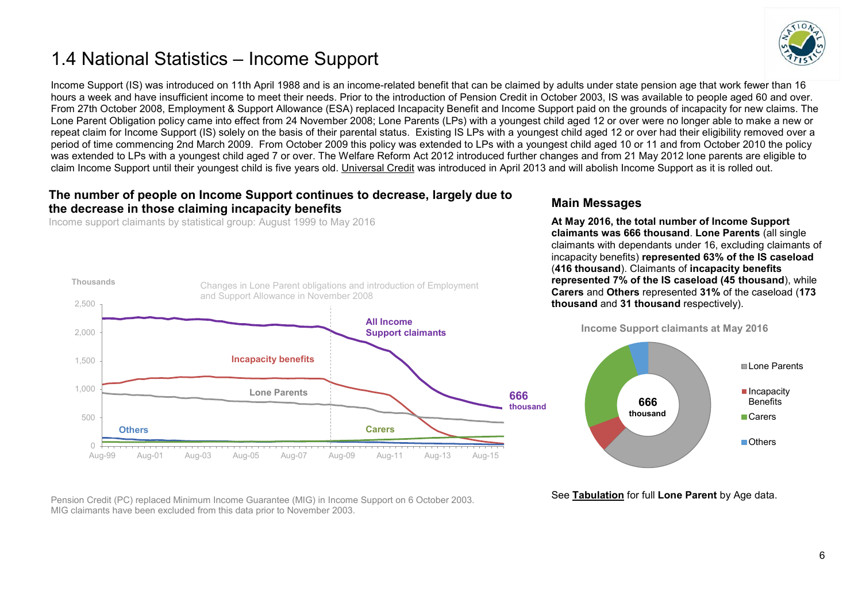### <span id="page-5-0"></span>1.4 National Statistics – Income Support



Income Support (IS) was introduced on 11th April 1988 and is an income-related benefit that can be claimed by adults under state pension age that work fewer than 16 hours a week and have insufficient income to meet their needs. Prior to the introduction of Pension Credit in October 2003, IS was available to people aged 60 and over. From 27th October 2008, Employment & Support Allowance (ESA) replaced Incapacity Benefit and Income Support paid on the grounds of incapacity for new claims. The Lone Parent Obligation policy came into effect from 24 November 2008; Lone Parents (LPs) with a youngest child aged 12 or over were no longer able to make a new or repeat claim for Income Support (IS) solely on the basis of their parental status. Existing IS LPs with a youngest child aged 12 or over had their eligibility removed over a period of time commencing 2nd March 2009. From October 2009 this policy was extended to LPs with a youngest child aged 10 or 11 and from October 2010 the policy was extended to LPs with a youngest child aged 7 or over. The Welfare Reform Act 2012 introduced further changes and from 21 May 2012 lone parents are eligible to claim Income Support until their youngest child is five years old. [Universal Credit](https://www.gov.uk/government/collections/universal-credit-statistics) was introduced in April 2013 and will abolish Income Support as it is rolled out.

#### **The number of people on Income Support continues to decrease, largely due to the decrease in those claiming incapacity benefits**

Income support claimants by statistical group: August 1999 to May 2016



#### **Main Messages**

**At May 2016, the total number of Income Support claimants was 666 thousand**. **Lone Parents** (all single claimants with dependants under 16, excluding claimants of incapacity benefits) **represented 63% of the IS caseload** (**416 thousand**). Claimants of **incapacity benefits represented 7% of the IS caseload (45 thousand**), while **Carers** and **Others** represented **31%** of the caseload (**173 thousand** and **31 thousand** respectively).



Pension Credit (PC) replaced Minimum Income Guarantee (MIG) in Income Support on 6 October 2003. MIG claimants have been excluded from this data prior to November 2003.

See **[Tabulation](http://tabulation-tool.dwp.gov.uk/100pc/is/tabtool_is.html)** for full **Lone Parent** by Age data.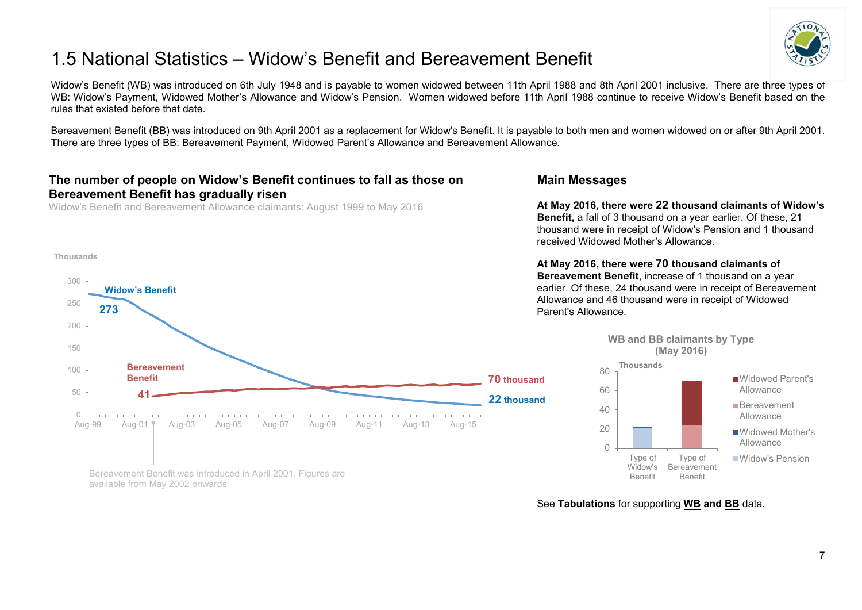### <span id="page-6-0"></span>1.5 National Statistics – Widow's Benefit and Bereavement Benefit



Widow's Benefit (WB) was introduced on 6th July 1948 and is payable to women widowed between 11th April 1988 and 8th April 2001 inclusive. There are three types of WB: Widow's Payment, Widowed Mother's Allowance and Widow's Pension. Women widowed before 11th April 1988 continue to receive Widow's Benefit based on the rules that existed before that date.

Bereavement Benefit (BB) was introduced on 9th April 2001 as a replacement for Widow's Benefit. It is payable to both men and women widowed on or after 9th April 2001. There are three types of BB: Bereavement Payment, Widowed Parent's Allowance and Bereavement Allowance*.* 

#### **The number of people on Widow's Benefit continues to fall as those on Bereavement Benefit has gradually risen**

Widow's Benefit and Bereavement Allowance claimants: August 1999 to May 2016

#### **Thousands**



#### **Main Messages**

**At May 2016, there were 22 thousand claimants of Widow's Benefit,** a fall of 3 thousand on a year earlier. Of these, 21 thousand were in receipt of Widow's Pension and 1 thousand received Widowed Mother's Allowance.

**At May 2016, there were 70 thousand claimants of Bereavement Benefit**, increase of 1 thousand on a year earlier. Of these, 24 thousand were in receipt of Bereavement Allowance and 46 thousand were in receipt of Widowed Parent's Allowance.



Bereavement Benefit was introduced in April 2001. Figures are available from May 2002 onwards

See **Tabulations** for supporting **[WB](http://tabulation-tool.dwp.gov.uk/100pc/wb/ccdate/cat/a_carate_r_ccdate_c_cat.html) and [BB](http://tabulation-tool.dwp.gov.uk/100pc/bb/ccdate/cat/a_carate_r_ccdate_c_cat.html)** data.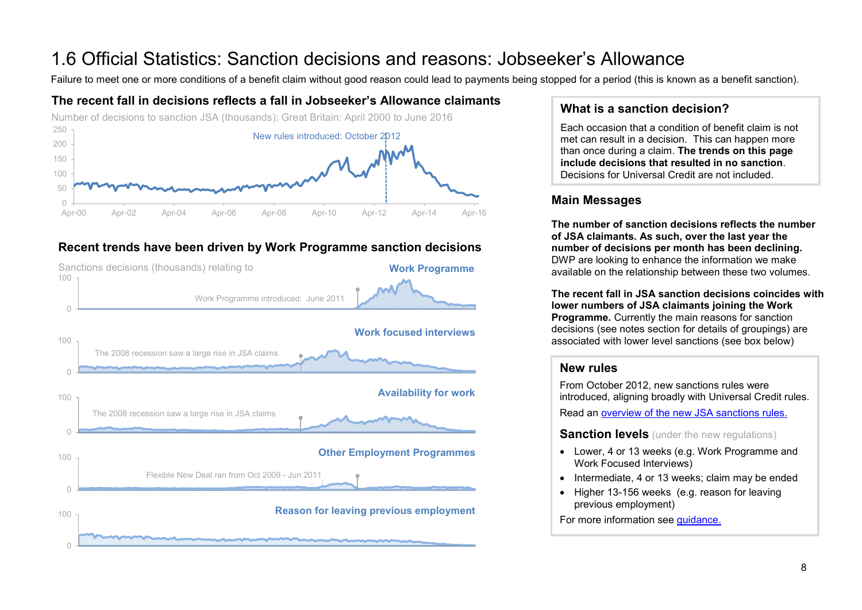# <span id="page-7-0"></span>1.6 Official Statistics: Sanction decisions and reasons: Jobseeker's Allowance<br>Failure to meet one or more conditions of a benefit claim without good reason could lead to payments being stopped for a period (this is known

#### **The recent fall in decisions reflects a fall in Jobseeker's Allowance claimants**



#### **Recent trends have been driven by Work Programme sanction decisions**



#### **What is a sanction decision?**

Each occasion that a condition of benefit claim is not met can result in a decision. This can happen more than once during a claim. **The trends on this page include decisions that resulted in no sanction**. Decisions for Universal Credit are not included.

#### **Main Messages**

**The number of sanction decisions reflects the number of JSA claimants. As such, over the last year the number of decisions per month has been declining.**  DWP are looking to enhance the information we make available on the relationship between these two volumes.

**The recent fall in JSA sanction decisions coincides with lower numbers of JSA claimants joining the Work Programme.** Currently the main reasons for sanction decisions (see notes section for details of groupings) are associated with lower level sanctions (see box below)

#### **New rules**

From October 2012, new sanctions rules were introduced, aligning broadly with Universal Credit rules.

Read an [overview of the new JSA sanctions rules.](https://www.gov.uk/government/publications/jobseekers-allowance-overview-of-sanctions-rules)

**Sanction levels** (under the new regulations)

- Lower, 4 or 13 weeks (e.g. Work Programme and Work Focused Interviews)
- Intermediate, 4 or 13 weeks; claim may be ended
- Higher 13-156 weeks (e.g. reason for leaving previous employment)

For more information see [guidance.](https://www.gov.uk/government/publications/jobseekers-allowance-sanctions-leaflet/jobseekers-allowance-sanctions-how-to-keep-your-benefit-payment)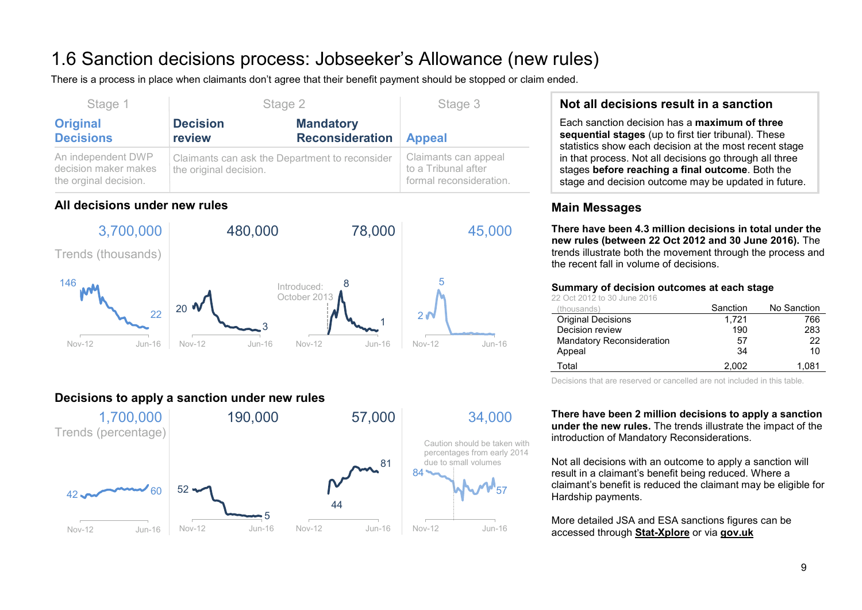## 1.6 Sanction decisions process: Jobseeker's Allowance (new rules)

There is a process in place when claimants don't agree that their benefit payment should be stopped or claim ended.

| Stage 1                                                             | Stage 2                                                                  |                                            | Stage 3                                                                |
|---------------------------------------------------------------------|--------------------------------------------------------------------------|--------------------------------------------|------------------------------------------------------------------------|
| <b>Original</b><br><b>Decisions</b>                                 | <b>Decision</b><br>review                                                | <b>Mandatory</b><br><b>Reconsideration</b> | <b>Appeal</b>                                                          |
| An independent DWP<br>decision maker makes<br>the orginal decision. | Claimants can ask the Department to reconsider<br>the original decision. |                                            | Claimants can appeal<br>to a Tribunal after<br>formal reconsideration. |

#### **All decisions under new rules**



#### **Decisions to apply a sanction under new rules**



#### **Not all decisions result in a sanction**

Each sanction decision has a **maximum of three sequential stages** (up to first tier tribunal). These statistics show each decision at the most recent stage in that process. Not all decisions go through all three stages **before reaching a final outcome**. Both the stage and decision outcome may be updated in future.

#### **Main Messages**

**There have been 4.3 million decisions in total under the new rules (between 22 Oct 2012 and 30 June 2016).** The trends illustrate both the movement through the process and the recent fall in volume of decisions.

#### **Summary of decision outcomes at each stage**

22 Oct 2012 to 30 June 2016

| (thousands)                      | Sanction | No Sanction |
|----------------------------------|----------|-------------|
| <b>Original Decisions</b>        | 1.721    | 766         |
| Decision review                  | 190      | 283         |
| <b>Mandatory Reconsideration</b> | 57       | 22          |
| Appeal                           | 34       | 10          |
| Total                            | 2.002    | 1.081       |

Decisions that are reserved or cancelled are not included in this table.

**There have been 2 million decisions to apply a sanction under the new rules.** The trends illustrate the impact of the introduction of Mandatory Reconsiderations.

Not all decisions with an outcome to apply a sanction will result in a claimant's benefit being reduced. Where a claimant's benefit is reduced the claimant may be eligible for Hardship payments.

More detailed JSA and ESA sanctions figures can be accessed through **[Stat-Xplore](https://stat-xplore.dwp.gov.uk/)** or via **[gov.uk](https://www.gov.uk/government/collections/jobseekers-allowance-sanctions)**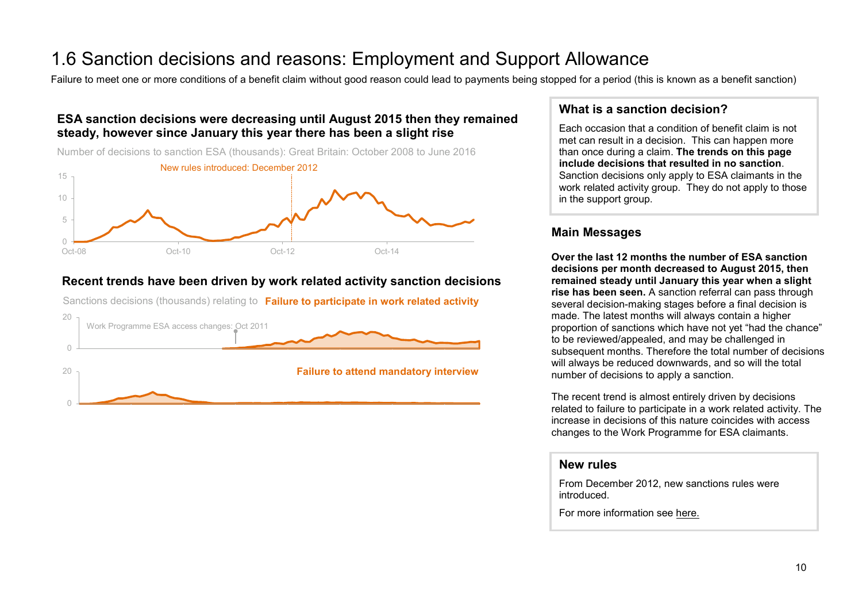## 1.6 Sanction decisions and reasons: Employment and Support Allowance<br>Failure to meet one or more conditions of a benefit claim without good reason could lead to payments being stopped for a period (this is known as a benef

#### **ESA sanction decisions were decreasing until August 2015 then they remained steady, however since January this year there has been a slight rise**



#### **Recent trends have been driven by work related activity sanction decisions**

Sanctions decisions (thousands) relating to **Failure to participate in work related activity**



#### **What is a sanction decision?**

Each occasion that a condition of benefit claim is not met can result in a decision. This can happen more than once during a claim. **The trends on this page include decisions that resulted in no sanction**. Sanction decisions only apply to ESA claimants in the work related activity group. They do not apply to those in the support group.

#### **Main Messages**

**Over the last 12 months the number of ESA sanction decisions per month decreased to August 2015, then remained steady until January this year when a slight rise has been seen.** A sanction referral can pass through several decision-making stages before a final decision is made. The latest months will always contain a higher proportion of sanctions which have not yet "had the chance" to be reviewed/appealed, and may be challenged in subsequent months. Therefore the total number of decisions will always be reduced downwards, and so will the total number of decisions to apply a sanction.

The recent trend is almost entirely driven by decisions related to failure to participate in a work related activity. The increase in decisions of this nature coincides with access changes to the Work Programme for ESA claimants.

#### **New rules**

From December 2012, new sanctions rules were introduced.

For more information see [here.](https://www.gov.uk/government/collections/jobseekers-allowance-sanctions)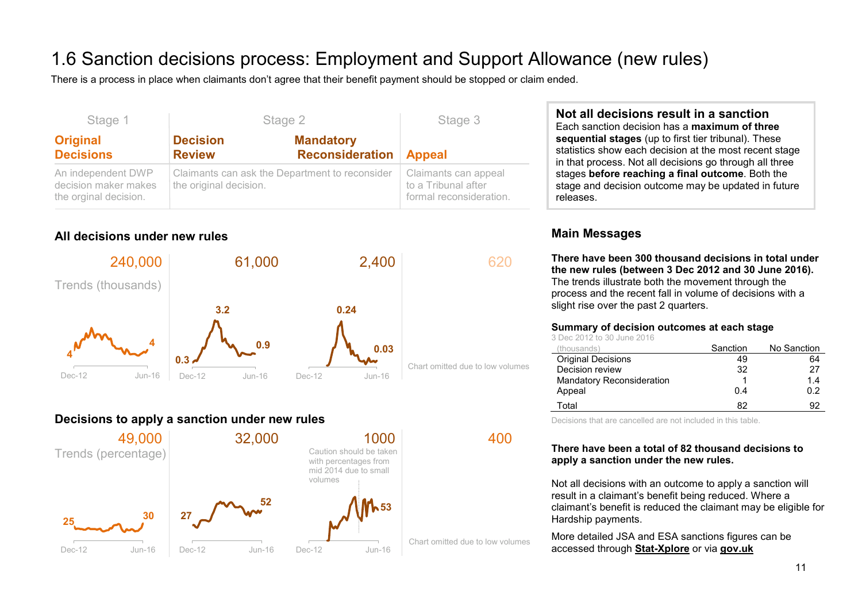### 1.6 Sanction decisions process: Employment and Support Allowance (new rules)

There is a process in place when claimants don't agree that their benefit payment should be stopped or claim ended.

| Stage 1                                                             |                                                                          | Stage 2                                    | Stage 3                                                                |
|---------------------------------------------------------------------|--------------------------------------------------------------------------|--------------------------------------------|------------------------------------------------------------------------|
| <b>Original</b><br><b>Decisions</b>                                 | <b>Decision</b><br><b>Review</b>                                         | <b>Mandatory</b><br><b>Reconsideration</b> | <b>Appeal</b>                                                          |
| An independent DWP<br>decision maker makes<br>the orginal decision. | Claimants can ask the Department to reconsider<br>the original decision. |                                            | Claimants can appeal<br>to a Tribunal after<br>formal reconsideration. |

#### **All decisions under new rules**



#### **Decisions to apply a sanction under new rules**



**Not all decisions result in a sanction** Each sanction decision has a **maximum of three sequential stages** (up to first tier tribunal). These statistics show each decision at the most recent stage in that process. Not all decisions go through all three stages **before reaching a final outcome**. Both the stage and decision outcome may be updated in future releases.

#### **Main Messages**

**There have been 300 thousand decisions in total under the new rules (between 3 Dec 2012 and 30 June 2016).**  The trends illustrate both the movement through the process and the recent fall in volume of decisions with a slight rise over the past 2 quarters.

#### **Summary of decision outcomes at each stage**

|  | 3 Dec 2012 to 30 June 2016 |  |  |  |  |
|--|----------------------------|--|--|--|--|
|  | (houesnde)                 |  |  |  |  |

| (thousands)                      | Sanction | No Sanction |
|----------------------------------|----------|-------------|
| <b>Original Decisions</b>        | 49       | 64          |
| Decision review                  | 32       | 27          |
| <b>Mandatory Reconsideration</b> |          | 1.4         |
| Appeal                           | 0.4      | 0.2         |
| Total                            | 82       | 92          |

Decisions that are cancelled are not included in this table.

#### **There have been a total of 82 thousand decisions to apply a sanction under the new rules.**

Not all decisions with an outcome to apply a sanction will result in a claimant's benefit being reduced. Where a claimant's benefit is reduced the claimant may be eligible for Hardship payments.

More detailed JSA and ESA sanctions figures can be accessed through **[Stat-Xplore](https://stat-xplore.dwp.gov.uk/)** or via **[gov.uk](https://www.gov.uk/government/collections/jobseekers-allowance-sanctions)**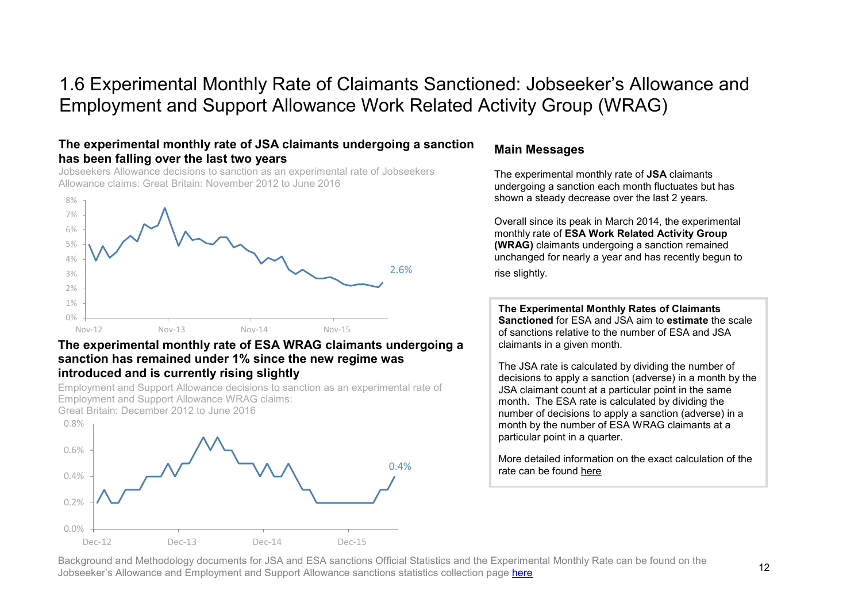### 1.6 Experimental Monthly Rate of Claimants Sanctioned: Jobseeker's Allowance and Employment and Support Allowance Work Related Activity Group (WRAG)

#### **The experimental monthly rate of JSA claimants undergoing a sanction has been falling over the last two years**

Jobseekers Allowance decisions to sanction as an experimental rate of Jobseekers Allowance claims: Great Britain: November 2012 to June 2016



#### **The experimental monthly rate of ESA WRAG claimants undergoing a sanction has remained under 1% since the new regime was introduced and is currently rising slightly**

Employment and Support Allowance decisions to sanction as an experimental rate of Employment and Support Allowance WRAG claims:

Great Britain: December 2012 to June 2016



#### **Main Messages**

The experimental monthly rate of **JSA** claimants undergoing a sanction each month fluctuates but has shown a steady decrease over the last 2 years.

Overall since its peak in March 2014, the experimental monthly rate of **ESA Work Related Activity Group (WRAG)** claimants undergoing a sanction remained unchanged for nearly a year and has recently begun to rise slightly.

**The Experimental Monthly Rates of Claimants Sanctioned** for ESA and JSA aim to **estimate** the scale of sanctions relative to the number of ESA and JSA claimants in a given month.

The JSA rate is calculated by dividing the number of decisions to apply a sanction (adverse) in a month by the JSA claimant count at a particular point in the same month. The ESA rate is calculated by dividing the number of decisions to apply a sanction (adverse) in a month by the number of ESA WRAG claimants at a particular point in a quarter.

More detailed information on the exact calculation of the rate can be found [here](https://www.gov.uk/government/uploads/system/uploads/attachment_data/file/523832/monthly-rate-of-claims-sanctioned-background-and-methodology.pdf)

Background and Methodology documents for JSA and ESA sanctions Official Statistics and the Experimental Monthly Rate can be found on the Jobseeker's Allowance and Employment and Support Allowance sanctions statistics collection page [here](https://www.gov.uk/government/collections/jobseekers-allowance-sanctions)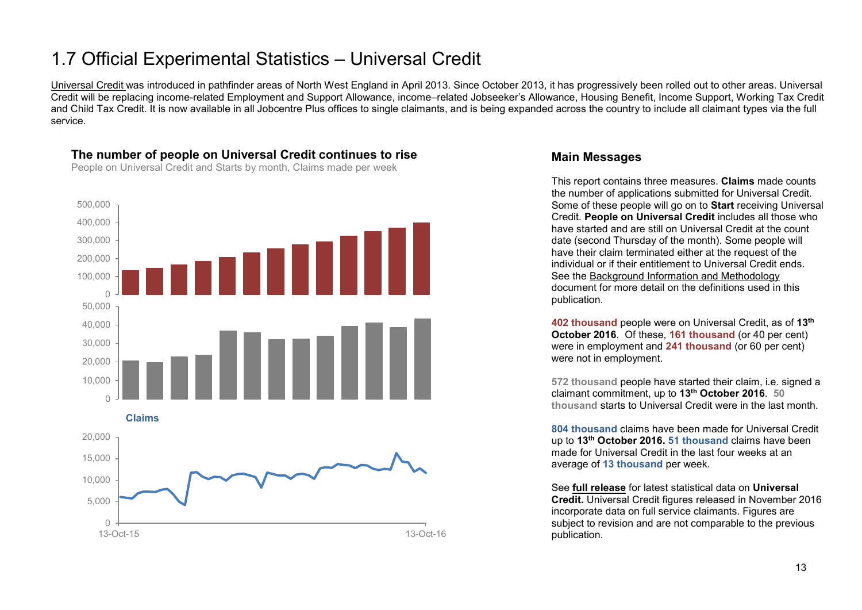### <span id="page-12-0"></span>1.7 Official Experimental Statistics – Universal Credit

[Universal Credit](https://www.gov.uk/government/collections/universal-credit-statistics) was introduced in pathfinder areas of North West England in April 2013. Since October 2013, it has progressively been rolled out to other areas. Universal Credit will be replacing income-related Employment and Support Allowance, income–related Jobseeker's Allowance, Housing Benefit, Income Support, Working Tax Credit and Child Tax Credit. It is now available in all Jobcentre Plus offices to single claimants, and is being expanded across the country to include all claimant types via the full service.



#### **The number of people on Universal Credit continues to rise**

People on Universal Credit and Starts by month, Claims made per week

#### **Main Messages**

This report contains three measures. **Claims** made counts the number of applications submitted for Universal Credit. Some of these people will go on to **Start** receiving Universal Credit. **People on Universal Credit** includes all those who have started and are still on Universal Credit at the count date (second Thursday of the month). Some people will have their claim terminated either at the request of the individual or if their entitlement to Universal Credit ends. See the [Background Information and Methodology](https://www.gov.uk/government/publications/universal-credit-statistics-background-information-and-methodology) document for more detail on the definitions used in this publication.

**402 thousand** people were on Universal Credit, as of **13th October 2016**. Of these, **161 thousand** (or 40 per cent) were in employment and **241 thousand** (or 60 per cent) were not in employment.

**572 thousand** people have started their claim, i.e. signed a claimant commitment, up to **13th October 2016**. **50 thousand** starts to Universal Credit were in the last month.

**804 thousand** claims have been made for Universal Credit up to **13th October 2016. 51 thousand** claims have been made for Universal Credit in the last four weeks at an average of **13 thousand** per week.

See **[full release](https://www.gov.uk/government/collections/universal-credit-statistics)** for latest statistical data on **Universal Credit.** Universal Credit figures released in November 2016 incorporate data on full service claimants. Figures are subject to revision and are not comparable to the previous publication.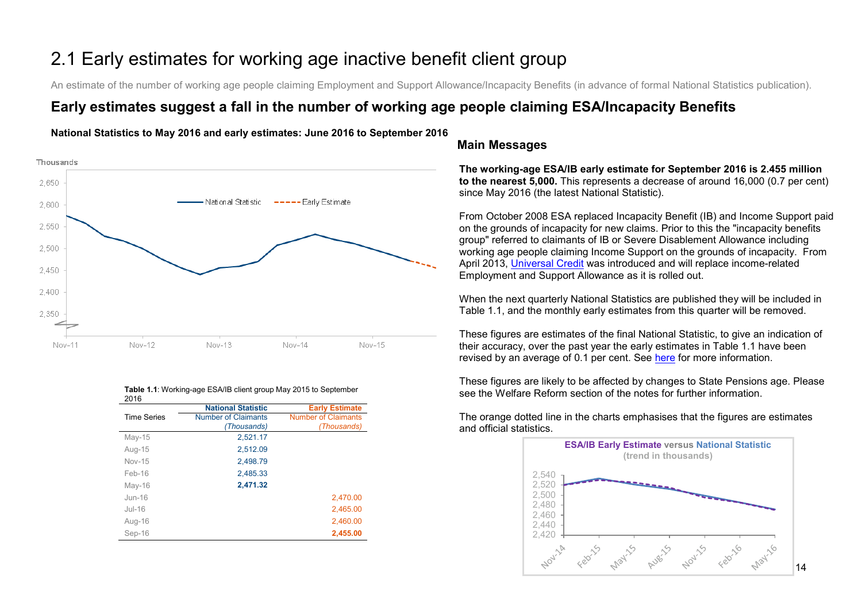## <span id="page-13-0"></span>2.1 Early estimates for working age inactive benefit client group

An estimate of the number of working age people claiming Employment and Support Allowance/Incapacity Benefits (in advance of formal National Statistics publication).

### **Early estimates suggest a fall in the number of working age people claiming ESA/Incapacity Benefits**



|          |        |        | . .      |        |  |
|----------|--------|--------|----------|--------|--|
|          |        |        |          |        |  |
| $v - 11$ | Nov-12 | Nov-13 | $Nov-14$ | Nov-15 |  |

**National Statistics to May 2016 and early estimates: June 2016 to September 2016**

| 20 I O             |                            |                            |
|--------------------|----------------------------|----------------------------|
|                    | <b>National Statistic</b>  | <b>Early Estimate</b>      |
| <b>Time Series</b> | <b>Number of Claimants</b> | <b>Number of Claimants</b> |
|                    | (Thousands)                | (Thousands)                |
| $May-15$           | 2,521.17                   |                            |
| Aug-15             | 2,512.09                   |                            |
| <b>Nov-15</b>      | 2,498.79                   |                            |
| Feb-16             | 2,485.33                   |                            |
| $May-16$           | 2,471.32                   |                            |
| $Jun-16$           |                            | 2,470.00                   |
| $Jul-16$           |                            | 2,465.00                   |
| Aug-16             |                            | 2,460.00                   |
| Sep-16             |                            | 2,455.00                   |
|                    |                            |                            |

#### **Table 1.1**: Working-age ESA/IB client group May 2015 to September  $2016$

#### **Main Messages**

**The working-age ESA/IB early estimate for September 2016 is 2.455 million to the nearest 5,000.** This represents a decrease of around 16,000 (0.7 per cent) since May 2016 (the latest National Statistic).

From October 2008 ESA replaced Incapacity Benefit (IB) and Income Support paid on the grounds of incapacity for new claims. Prior to this the "incapacity benefits group" referred to claimants of IB or Severe Disablement Allowance including working age people claiming Income Support on the grounds of incapacity. From April 2013, [Universal Credit](https://www.gov.uk/government/collections/universal-credit-statistics) was introduced and will replace income-related Employment and Support Allowance as it is rolled out.

When the next quarterly National Statistics are published they will be included in Table 1.1, and the monthly early estimates from this quarter will be removed.

These figures are estimates of the final National Statistic, to give an indication of their accuracy, over the past year the early estimates in Table 1.1 have been revised by an average of 0.1 per cent. See [here](https://www.gov.uk/government/uploads/system/uploads/attachment_data/file/204838/tech-doc-early-estimates-working-age-inactive.pdf) for more information.

These figures are likely to be affected by changes to State Pensions age. Please see the Welfare Reform section of the notes for further information.

The orange dotted line in the charts emphasises that the figures are estimates and official statistics.



14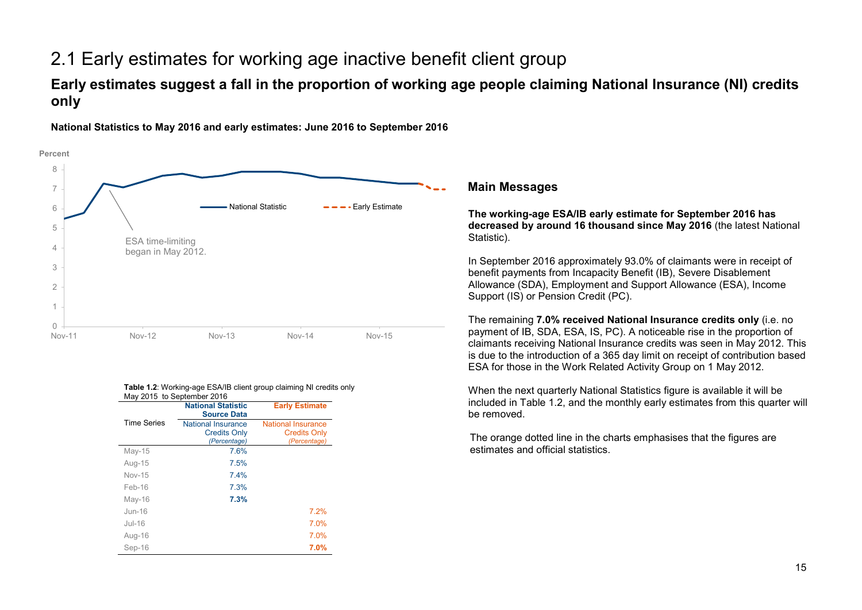### 2.1 Early estimates for working age inactive benefit client group

### **Early estimates suggest a fall in the proportion of working age people claiming National Insurance (NI) credits only**



**National Statistics to May 2016 and early estimates: June 2016 to September 2016**

**Main Messages**

**The working-age ESA/IB early estimate for September 2016 has decreased by around 16 thousand since May 2016** (the latest National Statistic).

In September 2016 approximately 93.0% of claimants were in receipt of benefit payments from Incapacity Benefit (IB), Severe Disablement Allowance (SDA), Employment and Support Allowance (ESA), Income Support (IS) or Pension Credit (PC).

The remaining **7.0% received National Insurance credits only** (i.e. no payment of IB, SDA, ESA, IS, PC). A noticeable rise in the proportion of claimants receiving National Insurance credits was seen in May 2012. This is due to the introduction of a 365 day limit on receipt of contribution based ESA for those in the Work Related Activity Group on 1 May 2012.

When the next quarterly National Statistics figure is available it will be included in Table 1.2, and the monthly early estimates from this quarter will be removed.

The orange dotted line in the charts emphasises that the figures are estimates and official statistics.

#### **Table 1.2**: Working-age ESA/IB client group claiming NI credits only May 2015 to September 2016

|                    | <b>National Statistic</b><br><b>Source Data</b> | <b>Early Estimate</b>     |
|--------------------|-------------------------------------------------|---------------------------|
| <b>Time Series</b> | <b>National Insurance</b>                       | <b>National Insurance</b> |
|                    | <b>Credits Only</b>                             | <b>Credits Only</b>       |
|                    | (Percentage)                                    | (Percentage)              |
| $May-15$           | 7.6%                                            |                           |
| Aug-15             | 7.5%                                            |                           |
| Nov-15             | 7.4%                                            |                           |
| Feb-16             | 7.3%                                            |                           |
| $May-16$           | 7.3%                                            |                           |
| $J$ un-16          |                                                 | 7.2%                      |
| Jul-16             |                                                 | 7.0%                      |
| Aug-16             |                                                 | 7.0%                      |
| Sep-16             |                                                 | 7.0%                      |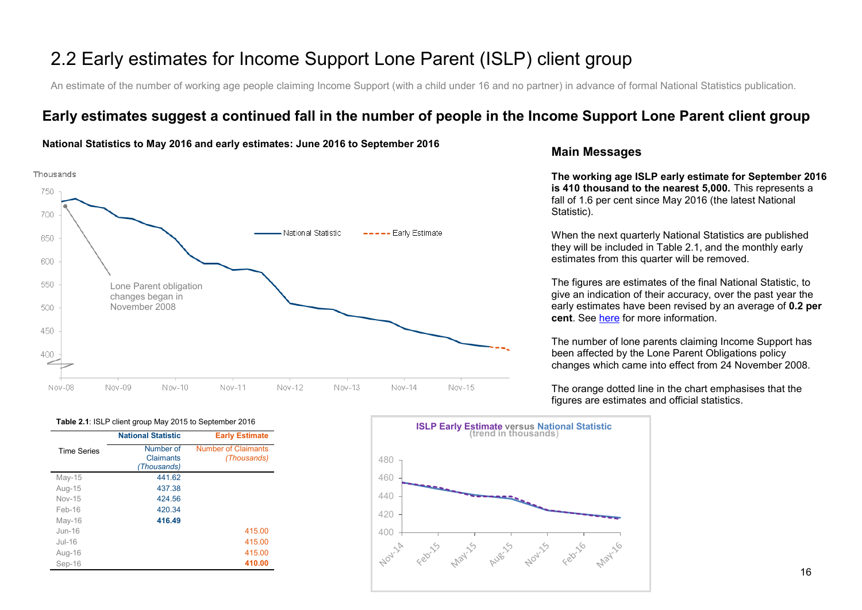### 2.2 Early estimates for Income Support Lone Parent (ISLP) client group

An estimate of the number of working age people claiming Income Support (with a child under 16 and no partner) in advance of formal National Statistics publication.

### **Early estimates suggest a continued fall in the number of people in the Income Support Lone Parent client group**



#### **National Statistics to May 2016 and early estimates: June 2016 to September 2016**

#### **Main Messages**

**The working age ISLP early estimate for September 2016 is 410 thousand to the nearest 5,000.** This represents a fall of 1.6 per cent since May 2016 (the latest National Statistic).

When the next quarterly National Statistics are published they will be included in Table 2.1, and the monthly early estimates from this quarter will be removed.

The figures are estimates of the final National Statistic, to give an indication of their accuracy, over the past year the early estimates have been revised by an average of **0.2 per cent**. See [here](https://www.gov.uk/government/uploads/system/uploads/attachment_data/file/204838/tech-doc-early-estimates-working-age-inactive.pdf) for more information.

The number of lone parents claiming Income Support has been affected by the Lone Parent Obligations policy changes which came into effect from 24 November 2008.

The orange dotted line in the chart emphasises that the figures are estimates and official statistics.



|                    | <b>National Statistic</b>             | <b>Early Estimate</b>                     |
|--------------------|---------------------------------------|-------------------------------------------|
| <b>Time Series</b> | Number of<br>Claimants<br>(Thousands) | <b>Number of Claimants</b><br>(Thousands) |
| $May-15$           | 441.62                                |                                           |
| Aug-15             | 437.38                                |                                           |
| $Nov-15$           | 424.56                                |                                           |
| $Feh-16$           | 420.34                                |                                           |
| $May-16$           | 416.49                                |                                           |
| $J$ un-16          |                                       | 415.00                                    |
| $Jul-16$           |                                       | 415.00                                    |
| Aug-16             |                                       | 415.00                                    |
| Sep-16             |                                       | 410.00                                    |

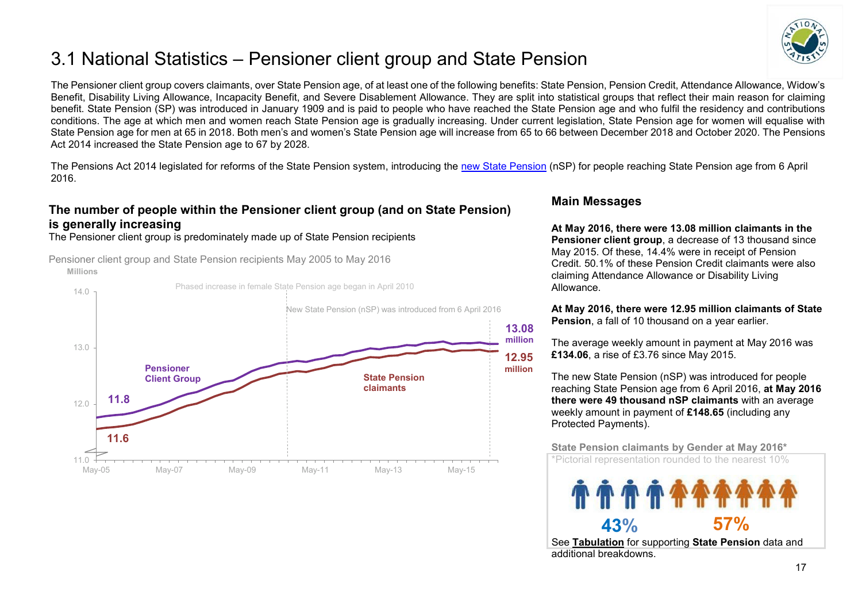### <span id="page-16-0"></span>3.1 National Statistics – Pensioner client group and State Pension



The Pensioner client group covers claimants, over State Pension age, of at least one of the following benefits: State Pension, Pension Credit, Attendance Allowance, Widow's Benefit, Disability Living Allowance, Incapacity Benefit, and Severe Disablement Allowance. They are split into statistical groups that reflect their main reason for claiming benefit. State Pension (SP) was introduced in January 1909 and is paid to people who have reached the State Pension age and who fulfil the residency and contributions conditions. The age at which men and women reach State Pension age is gradually increasing. Under current legislation, State Pension age for women will equalise with State Pension age for men at 65 in 2018. Both men's and women's State Pension age will increase from 65 to 66 between December 2018 and October 2020. The Pensions Act 2014 increased the State Pension age to 67 by 2028.

The Pensions Act 2014 legislated for reforms of the State Pension system, introducing the [new State Pension](https://www.gov.uk/new-state-pension) (nSP) for people reaching State Pension age from 6 April 2016.

#### **The number of people within the Pensioner client group (and on State Pension) is generally increasing**

The Pensioner client group is predominately made up of State Pension recipients

**Millions** Pensioner client group and State Pension recipients May 2005 to May 2016



#### **Main Messages**

**At May 2016, there were 13.08 million claimants in the Pensioner client group**, a decrease of 13 thousand since May 2015. Of these, 14.4% were in receipt of Pension Credit. 50.1% of these Pension Credit claimants were also claiming Attendance Allowance or Disability Living Allowance.

**At May 2016, there were 12.95 million claimants of State Pension**, a fall of 10 thousand on a year earlier.

The average weekly amount in payment at May 2016 was **£134.06**, a rise of £3.76 since May 2015.

The new State Pension (nSP) was introduced for people reaching State Pension age from 6 April 2016, **at May 2016 there were 49 thousand nSP claimants** with an average weekly amount in payment of **£148.65** (including any Protected Payments).

**State Pension claimants by Gender at May 2016\*** 

\*Pictorial representation rounded to the nearest 10%



See **[Tabulation](http://ifdnsas1/modstats/updateAug15/100pc/pa/ccdate/ccpencomb/a_carate_r_ccdate_c_ccpencomb.html)** for supporting **State Pension** data and additional breakdowns.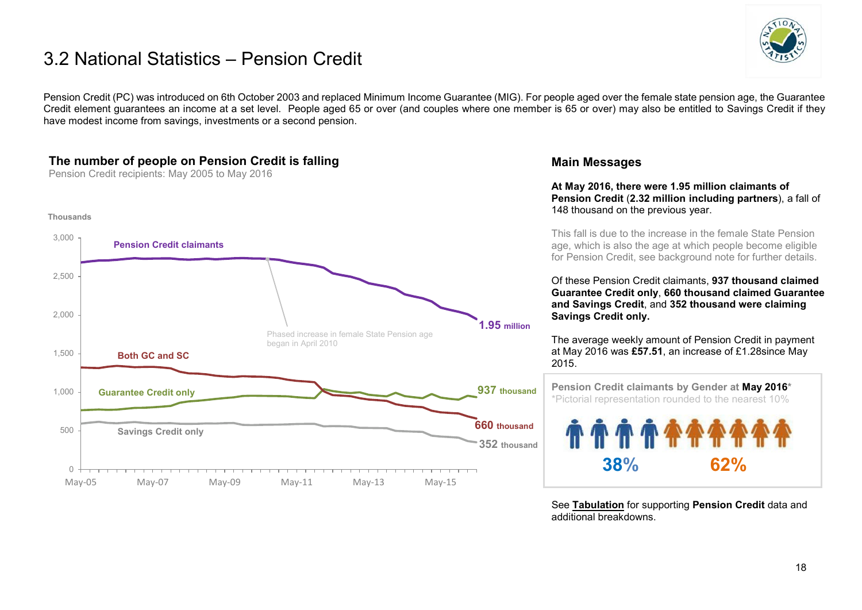### 3.2 National Statistics – Pension Credit



Pension Credit (PC) was introduced on 6th October 2003 and replaced Minimum Income Guarantee (MIG). For people aged over the female state pension age, the Guarantee Credit element quarantees an income at a set level. People aged 65 or over (and couples where one member is 65 or over) may also be entitled to Savings Credit if they have modest income from savings, investments or a second pension.

#### **The number of people on Pension Credit is falling**

Pension Credit recipients: May 2005 to May 2016



#### **Main Messages**

**At May 2016, there were 1.95 million claimants of Pension Credit** (**2.32 million including partners**), a fall of 148 thousand on the previous year.

This fall is due to the increase in the female State Pension age, which is also the age at which people become eligible for Pension Credit, see background note for further details.

Of these Pension Credit claimants, **937 thousand claimed Guarantee Credit only**, **660 thousand claimed Guarantee and Savings Credit**, and **352 thousand were claiming Savings Credit only.**

The average weekly amount of Pension Credit in payment at May 2016 was **£57.51**, an increase of £1.28since May 2015.

 **Pension Credit claimants by Gender at May 2016\***  \*Pictorial representation rounded to the nearest 10% **38% 62%**

See **[Tabulation](http://tabulation-tool.dwp.gov.uk/100pc/pc/ccdate/pctype/a_carate_r_ccdate_c_pctype.html)** for supporting **Pension Credit** data and additional breakdowns.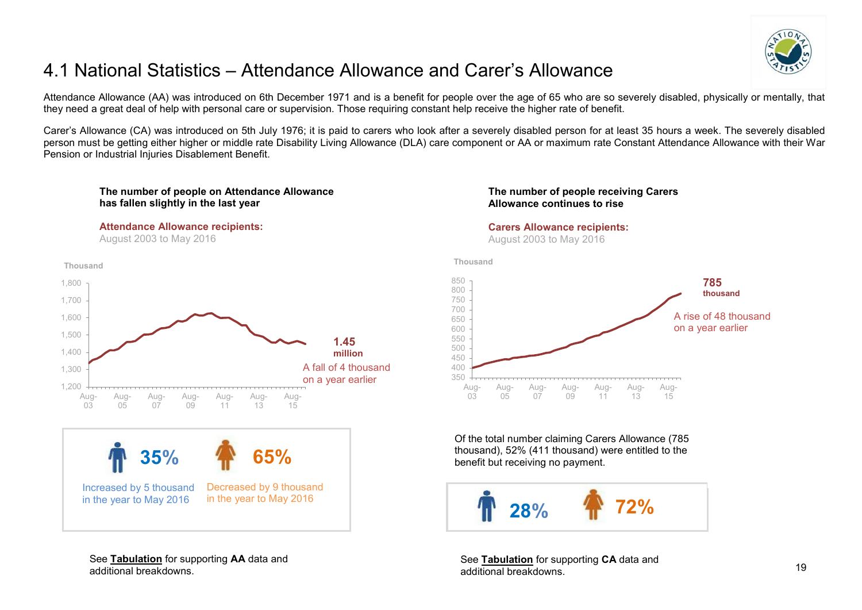

### <span id="page-18-0"></span>4.1 National Statistics – Attendance Allowance and Carer's Allowance

Attendance Allowance (AA) was introduced on 6th December 1971 and is a benefit for people over the age of 65 who are so severely disabled, physically or mentally, that they need a great deal of help with personal care or supervision. Those requiring constant help receive the higher rate of benefit.

Carer's Allowance (CA) was introduced on 5th July 1976; it is paid to carers who look after a severely disabled person for at least 35 hours a week. The severely disabled person must be getting either higher or middle rate Disability Living Allowance (DLA) care component or AA or maximum rate Constant Attendance Allowance with their War Pension or Industrial Injuries Disablement Benefit.

#### **The number of people on Attendance Allowance has fallen slightly in the last year**

#### **Attendance Allowance recipients:**

August 2003 to May 2016





See **[Tabulation](http://tabulation-tool.dwp.gov.uk/100pc/aa/tabtool_aa.html)** for supporting **AA** data and additional breakdowns.

#### **The number of people receiving Carers Allowance continues to rise**

#### **Carers Allowance recipients:**

August 2003 to May 2016

**Thousand**



Of the total number claiming Carers Allowance (785 thousand), 52% (411 thousand) were entitled to the benefit but receiving no payment.



See **[Tabulation](http://tabulation-tool.dwp.gov.uk/100pc/ca/tabtool_ca.html)** for supporting **CA** data and additional breakdowns.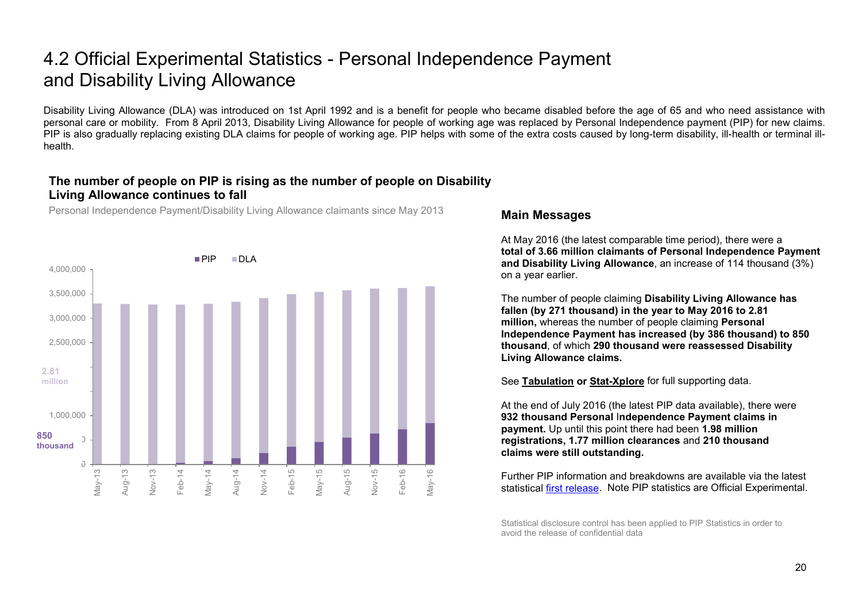### 4.2 Official Experimental Statistics - Personal Independence Payment and Disability Living Allowance

Disability Living Allowance (DLA) was introduced on 1st April 1992 and is a benefit for people who became disabled before the age of 65 and who need assistance with personal care or mobility. From 8 April 2013, Disability Living Allowance for people of working age was replaced by Personal Independence payment (PIP) for new claims. PIP is also gradually replacing existing DLA claims for people of working age. PIP helps with some of the extra costs caused by long-term disability, ill-health or terminal illhealth.

#### **The number of people on PIP is rising as the number of people on Disability Living Allowance continues to fall**

Personal Independence Payment/Disability Living Allowance claimants since May 2013



#### **Main Messages**

At May 2016 (the latest comparable time period), there were a **total of 3.66 million claimants of Personal Independence Payment and Disability Living Allowance**, an increase of 114 thousand (3%) on a year earlier.

The number of people claiming **Disability Living Allowance has fallen (by 271 thousand) in the year to May 2016 to 2.81 million,** whereas the number of people claiming **Personal Independence Payment has increased (by 386 thousand) to 850 thousand**, of which **290 thousand were reassessed Disability Living Allowance claims.** 

See **[Tabulation](http://tabulation-tool.dwp.gov.uk/100pc/dla/tabtool_dla.html) or [Stat-Xplore](https://stat-xplore.dwp.gov.uk/)** for full supporting data.

At the end of July 2016 (the latest PIP data available), there were **932 thousand Personal** I**ndependence Payment claims in payment.** Up until this point there had been **1.98 million registrations, 1.77 million clearances** and **210 thousand claims were still outstanding.** 

Further PIP information and breakdowns are available via the latest statistical [first release.](https://www.gov.uk/government/collections/personal-independence-payment-statistics) Note PIP statistics are Official Experimental.

Statistical disclosure control has been applied to PIP Statistics in order to avoid the release of confidential data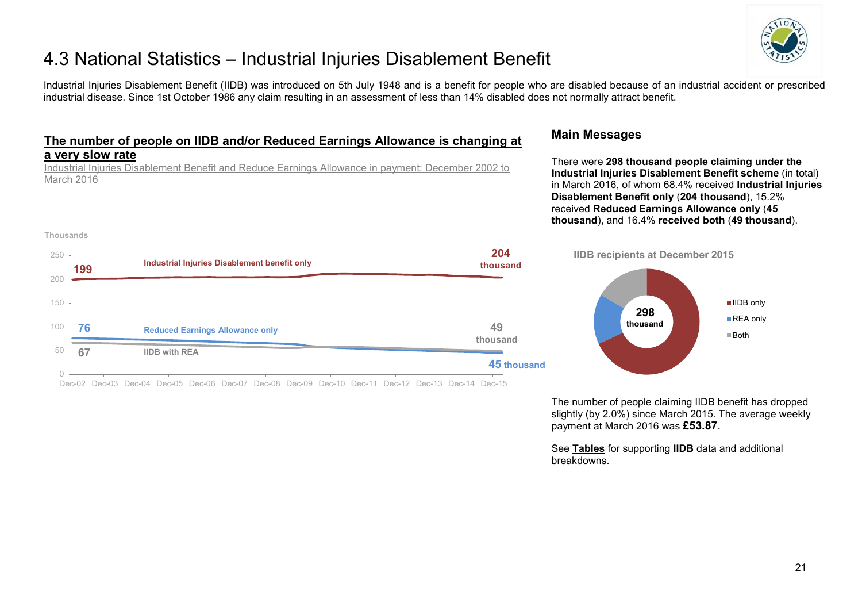

### 4.3 National Statistics – Industrial Injuries Disablement Benefit

Industrial Injuries Disablement Benefit (IIDB) was introduced on 5th July 1948 and is a benefit for people who are disabled because of an industrial accident or prescribed industrial disease. Since 1st October 1986 any claim resulting in an assessment of less than 14% disabled does not normally attract benefit.

#### **The number of people on IIDB and/or Reduced Earnings Allowance is changing at a very slow rate**

Industrial Injuries Disablement Benefit and Reduce Earnings Allowance in payment: December 2002 to March 2016

#### **Thousands**

| 250 | 199 | <b>Industrial Injuries Disablement benefit only</b> | 204<br>thousand |
|-----|-----|-----------------------------------------------------|-----------------|
| 200 |     |                                                     |                 |
| 150 |     |                                                     |                 |
| 100 | 76  | <b>Reduced Earnings Allowance only</b>              | 49<br>thousand  |
| 50  | 67  | <b>IIDB</b> with REA                                |                 |
|     |     |                                                     | 45 thousand     |

Dec-02 Dec-03 Dec-04 Dec-05 Dec-06 Dec-07 Dec-08 Dec-09 Dec-10 Dec-11 Dec-12 Dec-13 Dec-14 Dec-15

#### **Main Messages**

There were **298 thousand people claiming under the Industrial Injuries Disablement Benefit scheme** (in total) in March 2016, of whom 68.4% received **Industrial Injuries Disablement Benefit only** (**204 thousand**), 15.2% received **Reduced Earnings Allowance only** (**45 thousand**), and 16.4% **received both** (**49 thousand**).



The number of people claiming IIDB benefit has dropped slightly (by 2.0%) since March 2015. The average weekly payment at March 2016 was **£53.87**.

See **[Tables](https://www.gov.uk/government/organisations/department-for-work-pensions/series/industrial-injuries-disablement-benefit-quarterly-statistics)** for supporting **IIDB** data and additional breakdowns.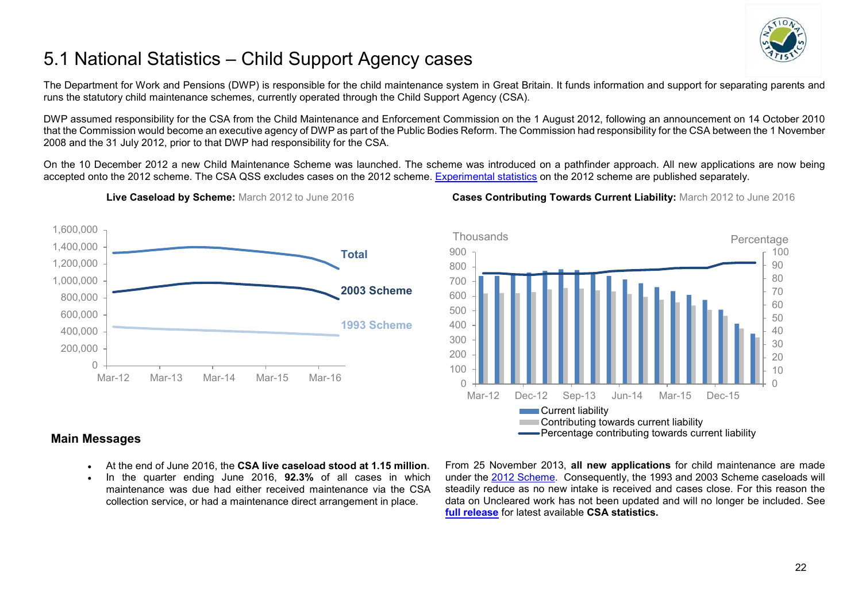

## <span id="page-21-0"></span>5.1 National Statistics – Child Support Agency cases

The Department for Work and Pensions (DWP) is responsible for the child maintenance system in Great Britain. It funds information and support for separating parents and runs the statutory child maintenance schemes, currently operated through the Child Support Agency (CSA).

DWP assumed responsibility for the CSA from the Child Maintenance and Enforcement Commission on the 1 August 2012, following an announcement on 14 October 2010 that the Commission would become an executive agency of DWP as part of the Public Bodies Reform. The Commission had responsibility for the CSA between the 1 November 2008 and the 31 July 2012, prior to that DWP had responsibility for the CSA.

On the 10 December 2012 a new Child Maintenance Scheme was launched. The scheme was introduced on a pathfinder approach. All new applications are now being accepted onto the 2012 scheme. The CSA QSS excludes cases on the 2012 scheme. [Experimental statistics](https://www.gov.uk/government/collections/statistics-on-the-2012-statutory-child-maintenance-scheme) on the 2012 scheme are published separately.



**Live Caseload by Scheme:** March 2012 to June 2016 **Cases Contributing Towards Current Liability:** March 2012 to June 2016



#### **Main Messages**

- At the end of June 2016, the **CSA live caseload stood at 1.15 million.**
- In the quarter ending June 2016, **92.3%** of all cases in which maintenance was due had either received maintenance via the CSA collection service, or had a maintenance direct arrangement in place.

From 25 November 2013, **all new applications** for child maintenance are made under the [2012 Scheme.](https://www.gov.uk/government/collections/statistics-on-the-2012-statutory-child-maintenance-scheme) Consequently, the 1993 and 2003 Scheme caseloads will steadily reduce as no new intake is received and cases close. For this reason the data on Uncleared work has not been updated and will no longer be included. See **[full release](https://www.gov.uk/government/organisations/department-for-work-pensions/series/child-support-agency-quarterly-summary-statistics--2)** for latest available **CSA statistics.**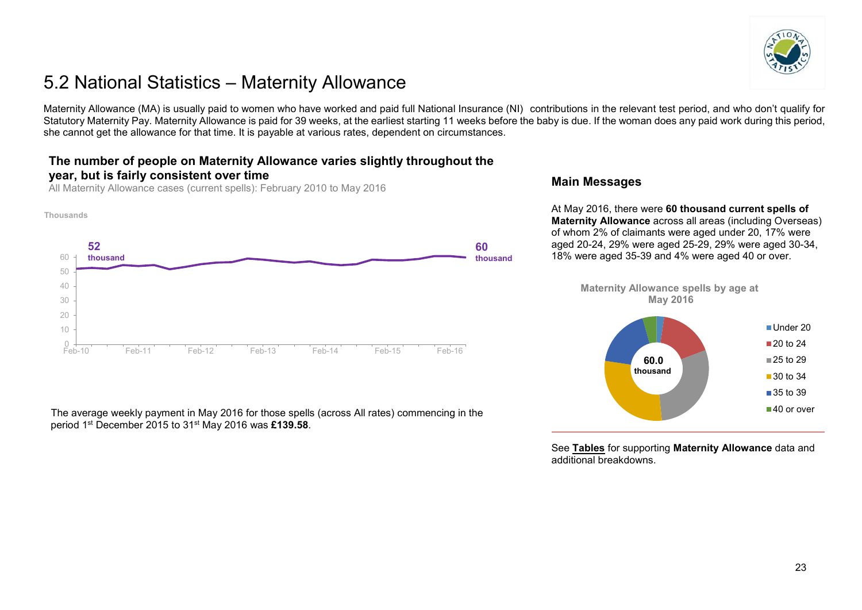

### <span id="page-22-0"></span>5.2 National Statistics – Maternity Allowance

Maternity Allowance (MA) is usually paid to women who have worked and paid full National Insurance (NI) contributions in the relevant test period, and who don't qualify for Statutory Maternity Pay. Maternity Allowance is paid for 39 weeks, at the earliest starting 11 weeks before the baby is due. If the woman does any paid work during this period, she cannot get the allowance for that time. It is payable at various rates, dependent on circumstances.

#### **The number of people on Maternity Allowance varies slightly throughout the year, but is fairly consistent over time**

All Maternity Allowance cases (current spells): February 2010 to May 2016



#### The average weekly payment in May 2016 for those spells (across All rates) commencing in the period 1st December 2015 to 31st May 2016 was **£139.58**.

#### **Main Messages**

At May 2016, there were **60 thousand current spells of Maternity Allowance** across all areas (including Overseas) of whom 2% of claimants were aged under 20, 17% were aged 20-24, 29% were aged 25-29, 29% were aged 30-34, 18% were aged 35-39 and 4% were aged 40 or over.

**Maternity Allowance spells by age at May 2016**



See **[Tables](https://www.gov.uk/government/collections/maternity-allowance-quarterly-statistics)** for supporting **Maternity Allowance** data and additional breakdowns.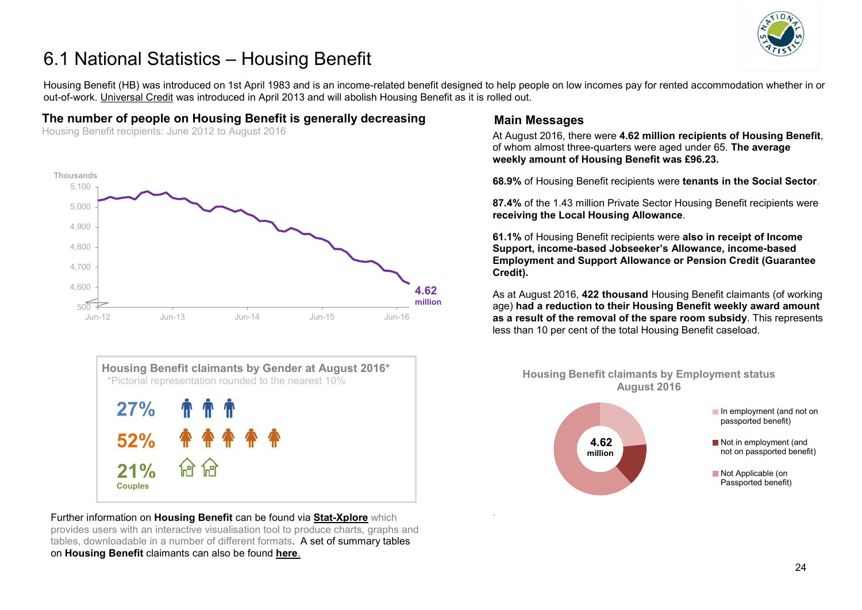

### <span id="page-23-0"></span>6.1 National Statistics – Housing Benefit

Housing Benefit (HB) was introduced on 1st April 1983 and is an income-related benefit designed to help people on low incomes pay for rented accommodation whether in or out-of-work*.* [Universal Credit](https://www.gov.uk/government/collections/universal-credit-statistics) was introduced in April 2013 and will abolish Housing Benefit as it is rolled out.

#### **The number of people on Housing Benefit is generally decreasing**

Housing Benefit recipients: June 2012 to August 2016





Further information on **Housing Benefit** can be found via **[Stat-Xplore](https://stat-xplore.dwp.gov.uk/)** which provides users with an interactive visualisation tool to produce charts, graphs and tables, downloadable in a number of different formats. A set of summary tables on **Housing Benefit** claimants can also be found **[here](https://www.gov.uk/government/collections/housing-benefit-and-council-tax-benefit-caseload-statistics--2)**.

#### **Main Messages**

.

At August 2016, there were **4.62 million recipients of Housing Benefit**, of whom almost three-quarters were aged under 65. **The average weekly amount of Housing Benefit was £96.23.**

**68.9%** of Housing Benefit recipients were **tenants in the Social Sector**.

**87.4%** of the 1.43 million Private Sector Housing Benefit recipients were **receiving the Local Housing Allowance**.

**61.1%** of Housing Benefit recipients were **also in receipt of Income Support, income-based Jobseeker's Allowance, income-based Employment and Support Allowance or Pension Credit (Guarantee Credit).**

As at August 2016, **422 thousand** Housing Benefit claimants (of working age) **had a reduction to their Housing Benefit weekly award amount as a result of the removal of the spare room subsidy**. This represents less than 10 per cent of the total Housing Benefit caseload.

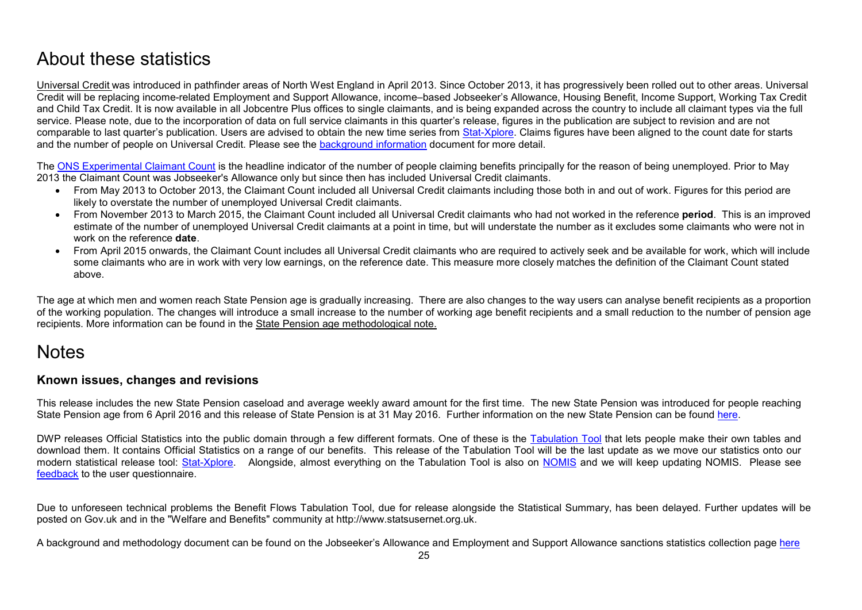### <span id="page-24-0"></span>About these statistics

<span id="page-24-1"></span>[Universal Credit](https://www.gov.uk/government/collections/universal-credit-statistics) was introduced in pathfinder areas of North West England in April 2013. Since October 2013, it has progressively been rolled out to other areas. Universal Credit will be replacing income-related Employment and Support Allowance, income–based Jobseeker's Allowance, Housing Benefit, Income Support, Working Tax Credit and Child Tax Credit. It is now available in all Jobcentre Plus offices to single claimants, and is being expanded across the country to include all claimant types via the full service. Please note, due to the incorporation of data on full service claimants in this quarter's release, figures in the publication are subject to revision and are not comparable to last quarter's publication. Users are advised to obtain the new time series from [Stat-Xplore.](https://stat-xplore.dwp.gov.uk/) Claims figures have been aligned to the count date for starts and the number of people on Universal Credit. Please see the [background information](https://www.gov.uk/government/publications/universal-credit-statistics-background-information-and-methodology) document for more detail.

The ONS [Experimental Claimant Count](https://www.nomisweb.co.uk/query/select/getdatasetbytheme.asp?theme=72) is the headline indicator of the number of people claiming benefits principally for the reason of being unemployed. Prior to May 2013 the Claimant Count was Jobseeker's Allowance only but since then has included Universal Credit claimants.

- From May 2013 to October 2013, the Claimant Count included all Universal Credit claimants including those both in and out of work. Figures for this period are likely to overstate the number of unemployed Universal Credit claimants.
- From November 2013 to March 2015, the Claimant Count included all Universal Credit claimants who had not worked in the reference **period**. This is an improved estimate of the number of unemployed Universal Credit claimants at a point in time, but will understate the number as it excludes some claimants who were not in work on the reference **date**.
- From April 2015 onwards, the Claimant Count includes all Universal Credit claimants who are required to actively seek and be available for work, which will include some claimants who are in work with very low earnings, on the reference date. This measure more closely matches the definition of the Claimant Count stated above.

The age at which men and women reach State Pension age is gradually increasing. There are also changes to the way users can analyse benefit recipients as a proportion of the working population. The changes will introduce a small increase to the number of working age benefit recipients and a small reduction to the number of pension age recipients. More information can be found in the [State Pension age methodological note.](https://www.gov.uk/government/uploads/system/uploads/attachment_data/file/181343/spa-timetable.pdf)

### **Notes**

#### **Known issues, changes and revisions**

This release includes the new State Pension caseload and average weekly award amount for the first time. The new State Pension was introduced for people reaching State Pension age from 6 April 2016 and this release of State Pension is at 31 May 2016. Further information on the new State Pension can be found [here.](https://www.gov.uk/new-state-pension)

DWP releases Official Statistics into the public domain through a few different formats. One of these is the [Tabulation Tool](https://www.gov.uk/government/collections/dwp-statistics-tabulation-tool) that lets people make their own tables and download them. It contains Official Statistics on a range of our benefits. This release of the Tabulation Tool will be the last update as we move our statistics onto our modern statistical release tool: [Stat-Xplore.](https://stat-xplore.dwp.gov.uk/) Alongside, almost everything on the Tabulation Tool is also on [NOMIS](https://www.nomisweb.co.uk/Default.asp) and we will keep updating NOMIS. Please see [feedback](https://www.gov.uk/government/publications/tabulation-tool-questionnaire-statistical-notice) to the user questionnaire.

Due to unforeseen technical problems the Benefit Flows Tabulation Tool, due for release alongside the Statistical Summary, has been delayed. Further updates will be posted on Gov.uk and in the "Welfare and Benefits" community at http://www.statsusernet.org.uk.

A background and methodology document can be found on the Jobseeker's Allowance and Employment and Support Allowance sanctions statistics collection page [here](https://www.gov.uk/government/collections/jobseekers-allowance-sanctions)